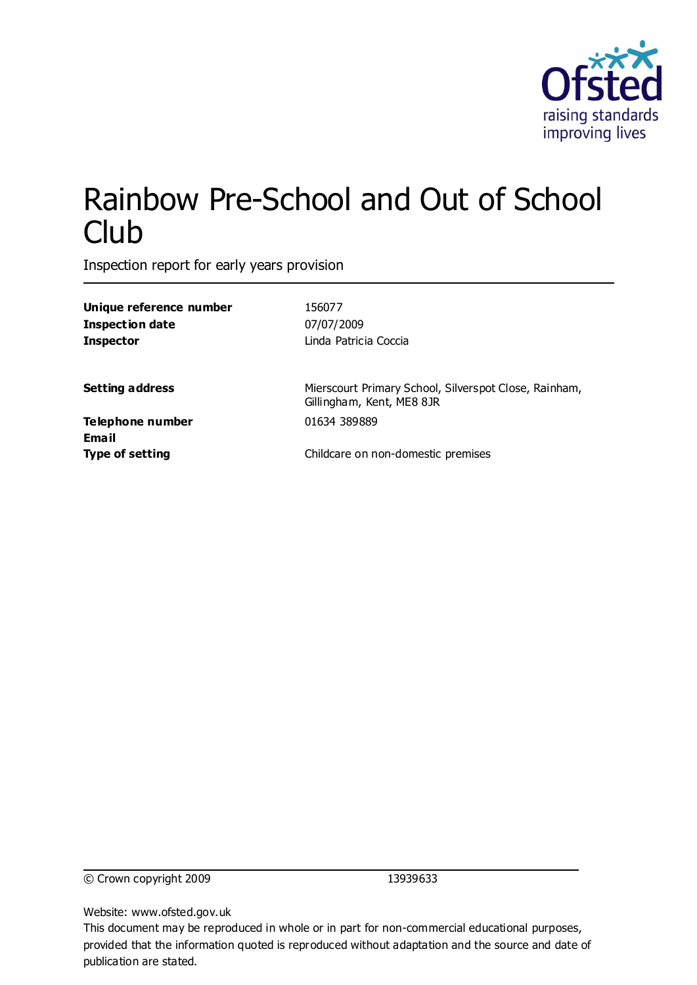

# Rainbow Pre-School and Out of School **Club**

Inspection report for early years provision

| Unique reference number | 156077                                                                             |
|-------------------------|------------------------------------------------------------------------------------|
| <b>Inspection date</b>  | 07/07/2009                                                                         |
| <b>Inspector</b>        | Linda Patricia Coccia                                                              |
| <b>Setting address</b>  | Mierscourt Primary School, Silverspot Close, Rainham,<br>Gillingham, Kent, ME8 8JR |
| <b>Telephone number</b> | 01634 389889                                                                       |
| <b>Email</b>            |                                                                                    |
| <b>Type of setting</b>  | Childcare on non-domestic premises                                                 |
|                         |                                                                                    |

© Crown copyright 2009 13939633

Website: www.ofsted.gov.uk

This document may be reproduced in whole or in part for non-commercial educational purposes, provided that the information quoted is reproduced without adaptation and the source and date of publication are stated.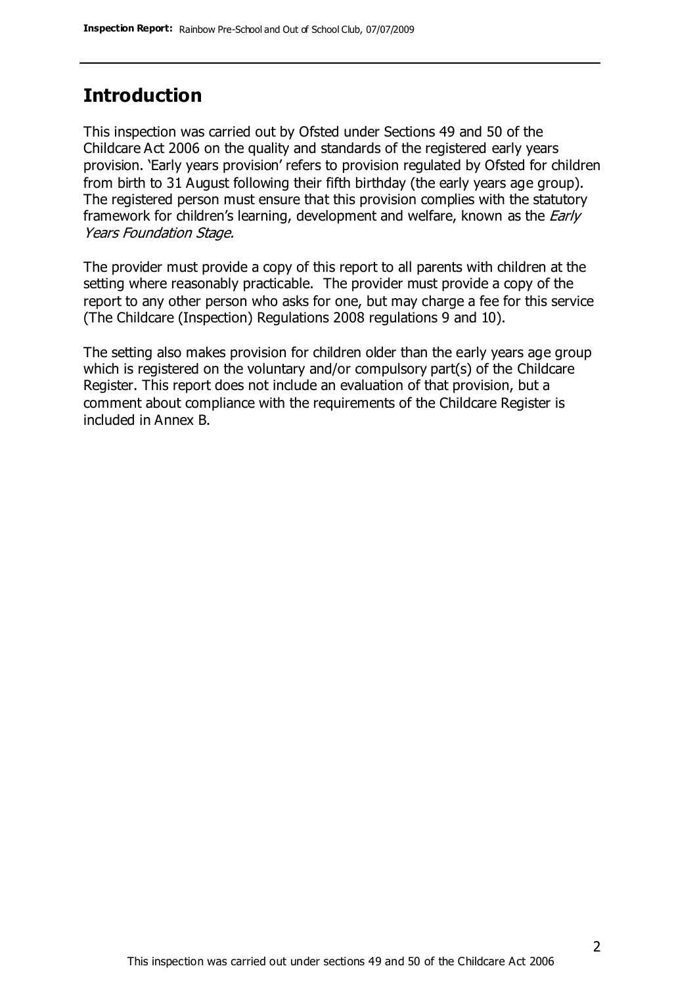#### **Introduction**

This inspection was carried out by Ofsted under Sections 49 and 50 of the Childcare Act 2006 on the quality and standards of the registered early years provision. 'Early years provision' refers to provision regulated by Ofsted for children from birth to 31 August following their fifth birthday (the early years age group). The registered person must ensure that this provision complies with the statutory framework for children's learning, development and welfare, known as the *Early* Years Foundation Stage.

The provider must provide a copy of this report to all parents with children at the setting where reasonably practicable. The provider must provide a copy of the report to any other person who asks for one, but may charge a fee for this service (The Childcare (Inspection) Regulations 2008 regulations 9 and 10).

The setting also makes provision for children older than the early years age group which is registered on the voluntary and/or compulsory part(s) of the Childcare Register. This report does not include an evaluation of that provision, but a comment about compliance with the requirements of the Childcare Register is included in Annex B.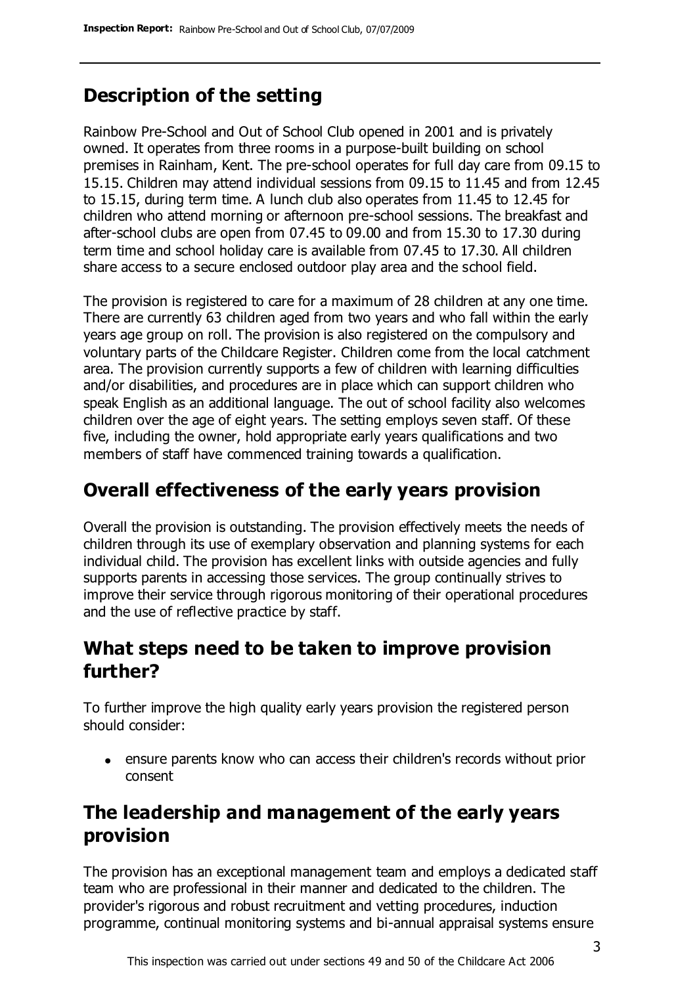### **Description of the setting**

Rainbow Pre-School and Out of School Club opened in 2001 and is privately owned. It operates from three rooms in a purpose-built building on school premises in Rainham, Kent. The pre-school operates for full day care from 09.15 to 15.15. Children may attend individual sessions from 09.15 to 11.45 and from 12.45 to 15.15, during term time. A lunch club also operates from 11.45 to 12.45 for children who attend morning or afternoon pre-school sessions. The breakfast and after-school clubs are open from 07.45 to 09.00 and from 15.30 to 17.30 during term time and school holiday care is available from 07.45 to 17.30. All children share access to a secure enclosed outdoor play area and the school field.

The provision is registered to care for a maximum of 28 children at any one time. There are currently 63 children aged from two years and who fall within the early years age group on roll. The provision is also registered on the compulsory and voluntary parts of the Childcare Register. Children come from the local catchment area. The provision currently supports a few of children with learning difficulties and/or disabilities, and procedures are in place which can support children who speak English as an additional language. The out of school facility also welcomes children over the age of eight years. The setting employs seven staff. Of these five, including the owner, hold appropriate early years qualifications and two members of staff have commenced training towards a qualification.

### **Overall effectiveness of the early years provision**

Overall the provision is outstanding. The provision effectively meets the needs of children through its use of exemplary observation and planning systems for each individual child. The provision has excellent links with outside agencies and fully supports parents in accessing those services. The group continually strives to improve their service through rigorous monitoring of their operational procedures and the use of reflective practice by staff.

#### **What steps need to be taken to improve provision further?**

To further improve the high quality early years provision the registered person should consider:

ensure parents know who can access their children's records without prior consent

### **The leadership and management of the early years provision**

The provision has an exceptional management team and employs a dedicated staff team who are professional in their manner and dedicated to the children. The provider's rigorous and robust recruitment and vetting procedures, induction programme, continual monitoring systems and bi-annual appraisal systems ensure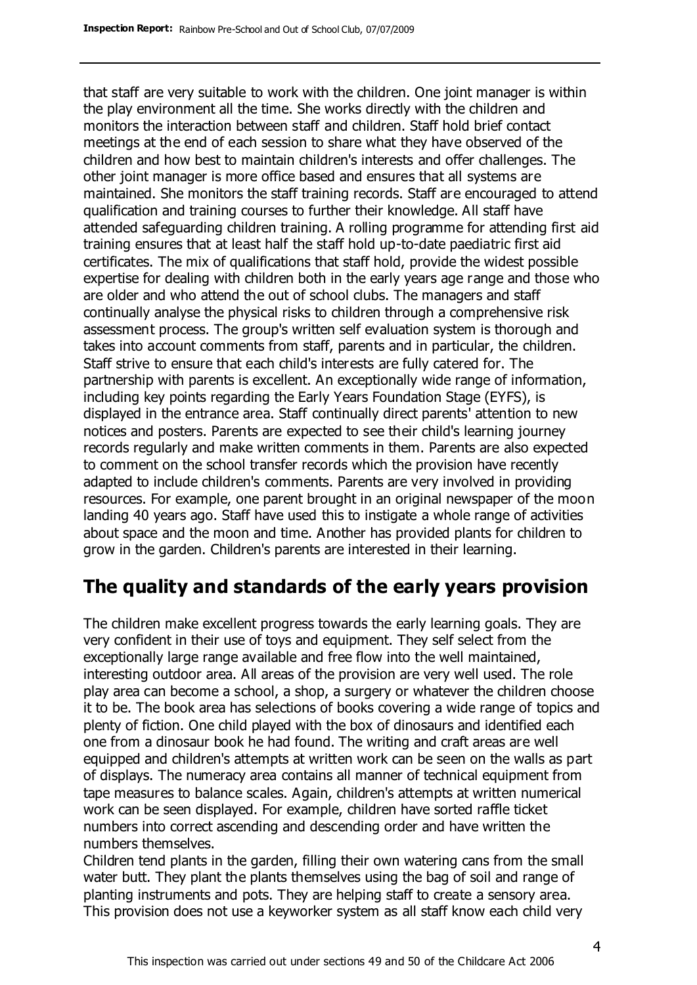that staff are very suitable to work with the children. One joint manager is within the play environment all the time. She works directly with the children and monitors the interaction between staff and children. Staff hold brief contact meetings at the end of each session to share what they have observed of the children and how best to maintain children's interests and offer challenges. The other joint manager is more office based and ensures that all systems are maintained. She monitors the staff training records. Staff are encouraged to attend qualification and training courses to further their knowledge. All staff have attended safeguarding children training. A rolling programme for attending first aid training ensures that at least half the staff hold up-to-date paediatric first aid certificates. The mix of qualifications that staff hold, provide the widest possible expertise for dealing with children both in the early years age range and those who are older and who attend the out of school clubs. The managers and staff continually analyse the physical risks to children through a comprehensive risk assessment process. The group's written self evaluation system is thorough and takes into account comments from staff, parents and in particular, the children. Staff strive to ensure that each child's interests are fully catered for. The partnership with parents is excellent. An exceptionally wide range of information, including key points regarding the Early Years Foundation Stage (EYFS), is displayed in the entrance area. Staff continually direct parents' attention to new notices and posters. Parents are expected to see their child's learning journey records regularly and make written comments in them. Parents are also expected to comment on the school transfer records which the provision have recently adapted to include children's comments. Parents are very involved in providing resources. For example, one parent brought in an original newspaper of the moon landing 40 years ago. Staff have used this to instigate a whole range of activities about space and the moon and time. Another has provided plants for children to grow in the garden. Children's parents are interested in their learning.

#### **The quality and standards of the early years provision**

The children make excellent progress towards the early learning goals. They are very confident in their use of toys and equipment. They self select from the exceptionally large range available and free flow into the well maintained, interesting outdoor area. All areas of the provision are very well used. The role play area can become a school, a shop, a surgery or whatever the children choose it to be. The book area has selections of books covering a wide range of topics and plenty of fiction. One child played with the box of dinosaurs and identified each one from a dinosaur book he had found. The writing and craft areas are well equipped and children's attempts at written work can be seen on the walls as part of displays. The numeracy area contains all manner of technical equipment from tape measures to balance scales. Again, children's attempts at written numerical work can be seen displayed. For example, children have sorted raffle ticket numbers into correct ascending and descending order and have written the numbers themselves.

Children tend plants in the garden, filling their own watering cans from the small water butt. They plant the plants themselves using the bag of soil and range of planting instruments and pots. They are helping staff to create a sensory area. This provision does not use a keyworker system as all staff know each child very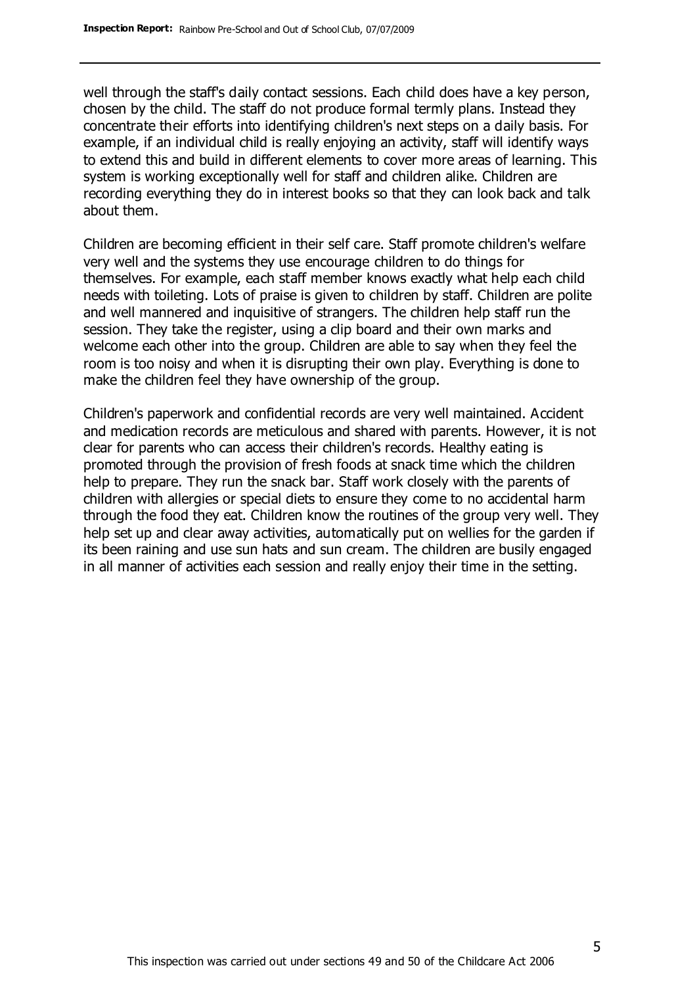well through the staff's daily contact sessions. Each child does have a key person, chosen by the child. The staff do not produce formal termly plans. Instead they concentrate their efforts into identifying children's next steps on a daily basis. For example, if an individual child is really enjoying an activity, staff will identify ways to extend this and build in different elements to cover more areas of learning. This system is working exceptionally well for staff and children alike. Children are recording everything they do in interest books so that they can look back and talk about them.

Children are becoming efficient in their self care. Staff promote children's welfare very well and the systems they use encourage children to do things for themselves. For example, each staff member knows exactly what help each child needs with toileting. Lots of praise is given to children by staff. Children are polite and well mannered and inquisitive of strangers. The children help staff run the session. They take the register, using a clip board and their own marks and welcome each other into the group. Children are able to say when they feel the room is too noisy and when it is disrupting their own play. Everything is done to make the children feel they have ownership of the group.

Children's paperwork and confidential records are very well maintained. Accident and medication records are meticulous and shared with parents. However, it is not clear for parents who can access their children's records. Healthy eating is promoted through the provision of fresh foods at snack time which the children help to prepare. They run the snack bar. Staff work closely with the parents of children with allergies or special diets to ensure they come to no accidental harm through the food they eat. Children know the routines of the group very well. They help set up and clear away activities, automatically put on wellies for the garden if its been raining and use sun hats and sun cream. The children are busily engaged in all manner of activities each session and really enjoy their time in the setting.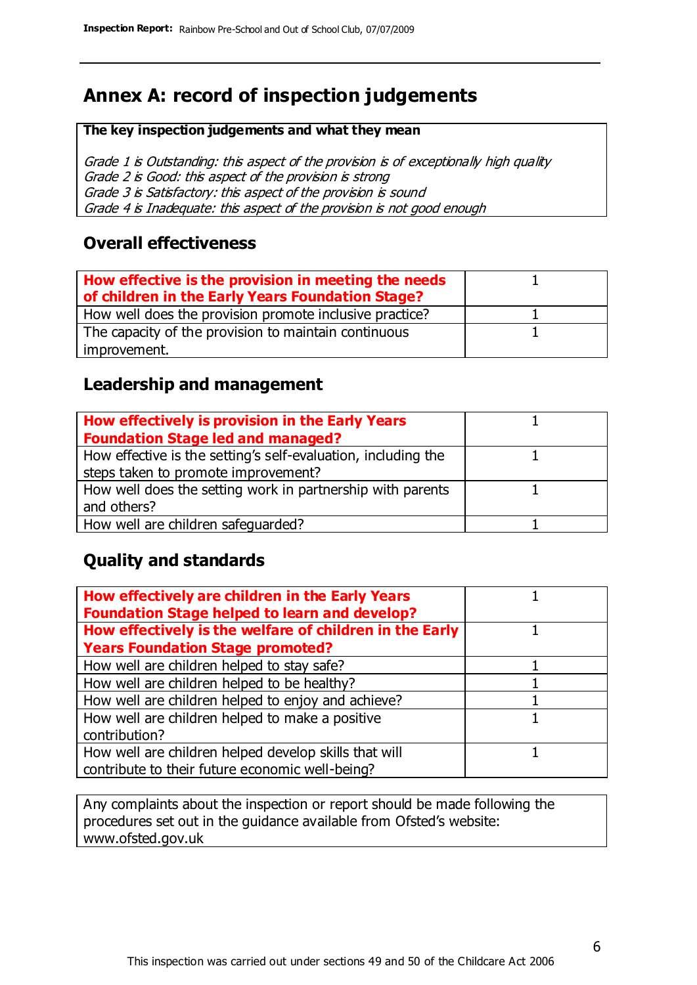### **Annex A: record of inspection judgements**

#### **The key inspection judgements and what they mean**

Grade 1 is Outstanding: this aspect of the provision is of exceptionally high quality Grade 2 is Good: this aspect of the provision is strong Grade 3 is Satisfactory: this aspect of the provision is sound Grade 4 is Inadequate: this aspect of the provision is not good enough

#### **Overall effectiveness**

| How effective is the provision in meeting the needs<br>of children in the Early Years Foundation Stage? |  |
|---------------------------------------------------------------------------------------------------------|--|
| How well does the provision promote inclusive practice?                                                 |  |
| The capacity of the provision to maintain continuous                                                    |  |
| improvement.                                                                                            |  |

#### **Leadership and management**

| How effectively is provision in the Early Years               |  |
|---------------------------------------------------------------|--|
| <b>Foundation Stage led and managed?</b>                      |  |
| How effective is the setting's self-evaluation, including the |  |
| steps taken to promote improvement?                           |  |
| How well does the setting work in partnership with parents    |  |
| and others?                                                   |  |
| How well are children safequarded?                            |  |

#### **Quality and standards**

| How effectively are children in the Early Years<br><b>Foundation Stage helped to learn and develop?</b> |  |
|---------------------------------------------------------------------------------------------------------|--|
| How effectively is the welfare of children in the Early                                                 |  |
| <b>Years Foundation Stage promoted?</b>                                                                 |  |
| How well are children helped to stay safe?                                                              |  |
| How well are children helped to be healthy?                                                             |  |
| How well are children helped to enjoy and achieve?                                                      |  |
| How well are children helped to make a positive                                                         |  |
| contribution?                                                                                           |  |
| How well are children helped develop skills that will                                                   |  |
| contribute to their future economic well-being?                                                         |  |

Any complaints about the inspection or report should be made following the procedures set out in the guidance available from Ofsted's website: www.ofsted.gov.uk